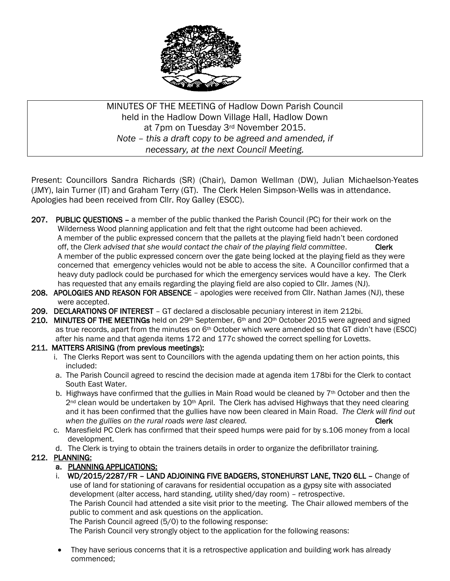

MINUTES OF THE MEETING of Hadlow Down Parish Council held in the Hadlow Down Village Hall, Hadlow Down at 7pm on Tuesday 3rd November 2015. *Note – this a draft copy to be agreed and amended, if necessary, at the next Council Meeting.*

Present: Councillors Sandra Richards (SR) (Chair), Damon Wellman (DW), Julian Michaelson-Yeates (JMY), Iain Turner (IT) and Graham Terry (GT). The Clerk Helen Simpson-Wells was in attendance. Apologies had been received from Cllr. Roy Galley (ESCC).

- 207. PUBLIC QUESTIONS a member of the public thanked the Parish Council (PC) for their work on the Wilderness Wood planning application and felt that the right outcome had been achieved. A member of the public expressed concern that the pallets at the playing field hadn't been cordoned off, the *Clerk advised that she would contact the chair of the playing field committee.* Clerk A member of the public expressed concern over the gate being locked at the playing field as they were concerned that emergency vehicles would not be able to access the site. A Councillor confirmed that a heavy duty padlock could be purchased for which the emergency services would have a key. The Clerk has requested that any emails regarding the playing field are also copied to Cllr. James (NJ).
- 208. APOLOGIES AND REASON FOR ABSENCE apologies were received from Cllr. Nathan James (NJ), these were accepted.
- 209. DECLARATIONS OF INTEREST GT declared a disclosable pecuniary interest in item 212bi.
- 210. MINUTES OF THE MEETINGs held on 29<sup>th</sup> September, 6<sup>th</sup> and 20<sup>th</sup> October 2015 were agreed and signed as true records, apart from the minutes on 6th October which were amended so that GT didn't have (ESCC) after his name and that agenda items 172 and 177c showed the correct spelling for Lovetts.

#### 211. MATTERS ARISING (from previous meetings):

- i. The Clerks Report was sent to Councillors with the agenda updating them on her action points, this included:
- a. The Parish Council agreed to rescind the decision made at agenda item 178bi for the Clerk to contact South East Water.
- b. Highways have confirmed that the gullies in Main Road would be cleaned by  $7<sup>th</sup>$  October and then the 2<sup>nd</sup> clean would be undertaken by 10<sup>th</sup> April. The Clerk has advised Highways that they need clearing and it has been confirmed that the gullies have now been cleared in Main Road. *The Clerk will find out*  when the gullies on the rural roads were last cleared. The contract of the set of the clerk
- c. Maresfield PC Clerk has confirmed that their speed humps were paid for by s.106 money from a local development.
- d. The Clerk is trying to obtain the trainers details in order to organize the defibrillator training.

#### 212. PLANNING:

## a. PLANNING APPLICATIONS:

 i. WD/2015/2287/FR – LAND ADJOINING FIVE BADGERS, STONEHURST LANE, TN20 6LL – Change of use of land for stationing of caravans for residential occupation as a gypsy site with associated development (alter access, hard standing, utility shed/day room) – retrospective. The Parish Council had attended a site visit prior to the meeting. The Chair allowed members of the public to comment and ask questions on the application.

The Parish Council agreed (5/0) to the following response:

The Parish Council very strongly object to the application for the following reasons:

 They have serious concerns that it is a retrospective application and building work has already commenced;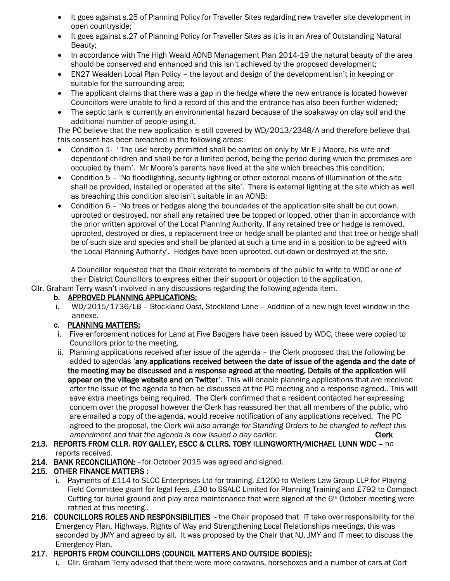- It goes against s.25 of Planning Policy for Traveller Sites regarding new traveller site development in open countryside;
- It goes against s.27 of Planning Policy for Traveller Sites as it is in an Area of Outstanding Natural Beauty;
- In accordance with The High Weald AONB Management Plan 2014-19 the natural beauty of the area should be conserved and enhanced and this isn't achieved by the proposed development;
- EN27 Wealden Local Plan Policy the layout and design of the development isn't in keeping or suitable for the surrounding area;
- The applicant claims that there was a gap in the hedge where the new entrance is located however Councillors were unable to find a record of this and the entrance has also been further widened;
- The septic tank is currently an environmental hazard because of the soakaway on clay soil and the additional number of people using it.

The PC believe that the new application is still covered by WD/2013/2348/A and therefore believe that this consent has been breached in the following areas:

- Condition 1- 'The use hereby permitted shall be carried on only by Mr E J Moore, his wife and dependant children and shall be for a limited period, being the period during which the premises are occupied by them'. Mr Moore's parents have lived at the site which breaches this condition;
- Condition 5 'No floodlighting, security lighting or other external means of illumination of the site shall be provided, installed or operated at the site'. There is external lighting at the site which as well as breaching this condition also isn't suitable in an AONB;
- Condition 6 'No trees or hedges along the boundaries of the application site shall be cut down, uprooted or destroyed, nor shall any retained tree be topped or lopped, other than in accordance with the prior written approval of the Local Planning Authority. If any retained tree or hedge is removed, uprooted, destroyed or dies, a replacement tree or hedge shall be planted and that tree or hedge shall be of such size and species and shall be planted at such a time and in a position to be agreed with the Local Planning Authority'. Hedges have been uprooted, cut-down or destroyed at the site.

A Councillor requested that the Chair reiterate to members of the public to write to WDC or one of their District Councillors to express either their support or objection to the application.

Cllr. Graham Terry wasn't involved in any discussions regarding the following agenda item.

#### b. APPROVED PLANNING APPLICATIONS:

 i. WD/2015/1736/LB – Stockland Oast, Stockland Lane – Addition of a new high level window in the annexe.

## c. PLANNING MATTERS:

- i. Five enforcement notices for Land at Five Badgers have been issued by WDC, these were copied to Councillors prior to the meeting.
- ii. Planning applications received after issue of the agenda the Clerk proposed that the following be added to agendas 'any applications received between the date of issue of the agenda and the date of the meeting may be discussed and a response agreed at the meeting. Details of the application will appear on the village website and on Twitter'. This will enable planning applications that are received after the issue of the agenda to then be discussed at the PC meeting and a response agreed.. This will save extra meetings being required. The Clerk confirmed that a resident contacted her expressing concern over the proposal however the Clerk has reassured her that all members of the public, who are emailed a copy of the agenda, would receive notification of any applications received. The PC agreed to the proposal, the *Clerk will also arrange for Standing Orders to be changed to reflect this amendment and that the agenda is now issued a day earlier.* The contract that **Clerk**

### 213. REPORTS FROM CLLR. ROY GALLEY, ESCC & CLLRS. TOBY ILLINGWORTH/MICHAEL LUNN WDC – no reports received.

214. BANK RECONCILIATION: –for October 2015 was agreed and signed.

## 215. OTHER FINANCE MATTERS :

- i. Payments of £114 to SLCC Enterprises Ltd for training, £1200 to Wellers Law Group LLP for Playing Field Committee grant for legal fees, £30 to SSALC Limited for Planning Training and £792 to Compact Cutting for burial ground and play area maintenance that were signed at the 6th October meeting were ratified at this meeting..
- 216. COUNCILLORS ROLES AND RESPONSIBILITIES the Chair proposed that IT take over responsibility for the Emergency Plan, Highways, Rights of Way and Strengthening Local Relationships meetings, this was seconded by JMY and agreed by all. It was proposed by the Chair that NJ, JMY and IT meet to discuss the Emergency Plan.

## 217. REPORTS FROM COUNCILLORS (COUNCIL MATTERS AND OUTSIDE BODIES):

i. Cllr. Graham Terry advised that there were more caravans, horseboxes and a number of cars at Cart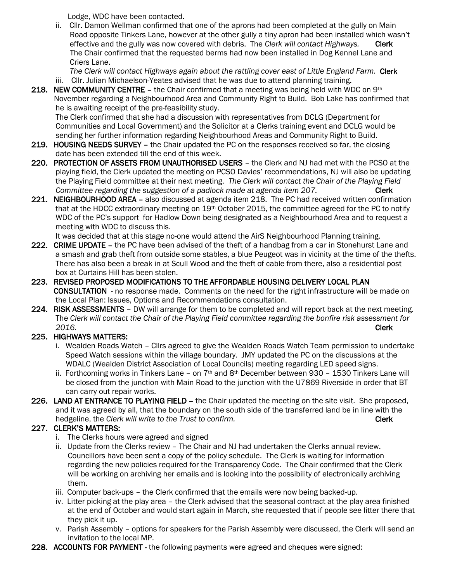Lodge, WDC have been contacted.

 ii. Cllr. Damon Wellman confirmed that one of the aprons had been completed at the gully on Main Road opposite Tinkers Lane, however at the other gully a tiny apron had been installed which wasn't effective and the gully was now covered with debris. The *Clerk will contact Highways.* Clerk The Chair confirmed that the requested berms had now been installed in Dog Kennel Lane and Criers Lane.

The Clerk will contact Highways again about the rattling cover east of Little England Farm. Clerk iii. Cllr. Julian Michaelson-Yeates advised that he was due to attend planning training.

218. NEW COMMUNITY CENTRE – the Chair confirmed that a meeting was being held with WDC on  $9<sup>th</sup>$  November regarding a Neighbourhood Area and Community Right to Build. Bob Lake has confirmed that he is awaiting receipt of the pre-feasibility study.

 The Clerk confirmed that she had a discussion with representatives from DCLG (Department for Communities and Local Government) and the Solicitor at a Clerks training event and DCLG would be sending her further information regarding Neighbourhood Areas and Community Right to Build.

- 219. HOUSING NEEDS SURVEY the Chair updated the PC on the responses received so far, the closing date has been extended till the end of this week.
- 220. PROTECTION OF ASSETS FROM UNAUTHORISED USERS the Clerk and NJ had met with the PCSO at the playing field, the Clerk updated the meeting on PCSO Davies' recommendations, NJ will also be updating the Playing Field committee at their next meeting. *The Clerk will contact the Chair of the Playing Field Committee regarding the suggestion of a padlock made at agenda item 207.* Clerk
- 221. NEIGHBOURHOOD AREA also discussed at agenda item 218. The PC had received written confirmation that at the HDCC extraordinary meeting on 19th October 2015, the committee agreed for the PC to notify WDC of the PC's support for Hadlow Down being designated as a Neighbourhood Area and to request a meeting with WDC to discuss this.

It was decided that at this stage no-one would attend the AirS Neighbourhood Planning training.

- 222. CRIME UPDATE the PC have been advised of the theft of a handbag from a car in Stonehurst Lane and a smash and grab theft from outside some stables, a blue Peugeot was in vicinity at the time of the thefts. There has also been a break in at Scull Wood and the theft of cable from there, also a residential post box at Curtains Hill has been stolen.
- 223. REVISED PROPOSED MODIFICATIONS TO THE AFFORDABLE HOUSING DELIVERY LOCAL PLAN CONSULTATION - no response made. Comments on the need for the right infrastructure will be made on the Local Plan: Issues, Options and Recommendations consultation.
- 224. RISK ASSESSMENTS DW will arrange for them to be completed and will report back at the next meeting. The *Clerk will contact the Chair of the Playing Field committee regarding the bonfire risk assessment for 2016.* Clerk

# 225. HIGHWAYS MATTERS:

- i. Wealden Roads Watch Cllrs agreed to give the Wealden Roads Watch Team permission to undertake Speed Watch sessions within the village boundary. JMY updated the PC on the discussions at the WDALC (Wealden District Association of Local Councils) meeting regarding LED speed signs.
- ii. Forthcoming works in Tinkers Lane on  $7<sup>th</sup>$  and  $8<sup>th</sup>$  December between 930 1530 Tinkers Lane will be closed from the junction with Main Road to the junction with the U7869 Riverside in order that BT can carry out repair works.
- 226. LAND AT ENTRANCE TO PLAYING FIELD the Chair updated the meeting on the site visit. She proposed, and it was agreed by all, that the boundary on the south side of the transferred land be in line with the hedgeline, the *Clerk will write to the Trust to confirm.* The *Clerk* Clerk

# 227. CLERK'S MATTERS:

- i. The Clerks hours were agreed and signed
- ii. Update from the Clerks review The Chair and NJ had undertaken the Clerks annual review. Councillors have been sent a copy of the policy schedule. The Clerk is waiting for information regarding the new policies required for the Transparency Code. The Chair confirmed that the Clerk will be working on archiving her emails and is looking into the possibility of electronically archiving them.
- iii. Computer back-ups the Clerk confirmed that the emails were now being backed-up.
- iv. Litter picking at the play area the Clerk advised that the seasonal contract at the play area finished at the end of October and would start again in March, she requested that if people see litter there that they pick it up.
- v. Parish Assembly options for speakers for the Parish Assembly were discussed, the Clerk will send an invitation to the local MP.
- 228. ACCOUNTS FOR PAYMENT the following payments were agreed and cheques were signed: